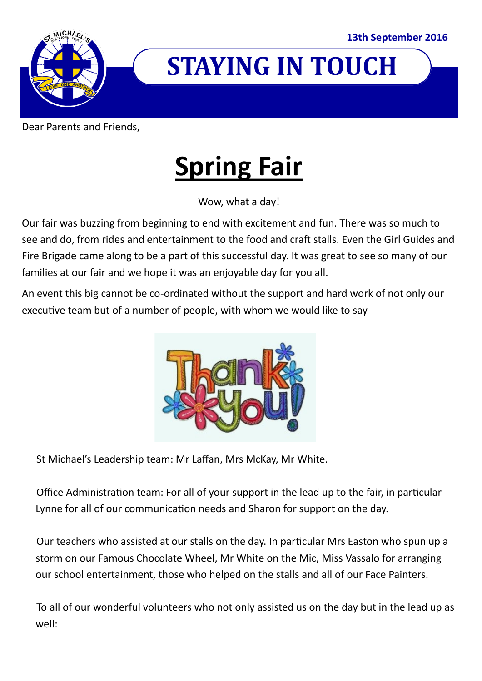

**STAYING IN TOUCH**

Dear Parents and Friends,

## **Spring Fair**

Wow, what a day!

Our fair was buzzing from beginning to end with excitement and fun. There was so much to see and do, from rides and entertainment to the food and craft stalls. Even the Girl Guides and Fire Brigade came along to be a part of this successful day. It was great to see so many of our families at our fair and we hope it was an enjoyable day for you all.

An event this big cannot be co-ordinated without the support and hard work of not only our executive team but of a number of people, with whom we would like to say



St Michael's Leadership team: Mr Laffan, Mrs McKay, Mr White.

Office Administration team: For all of your support in the lead up to the fair, in particular Lynne for all of our communication needs and Sharon for support on the day.

Our teachers who assisted at our stalls on the day. In particular Mrs Easton who spun up a storm on our Famous Chocolate Wheel, Mr White on the Mic, Miss Vassalo for arranging our school entertainment, those who helped on the stalls and all of our Face Painters.

To all of our wonderful volunteers who not only assisted us on the day but in the lead up as well: